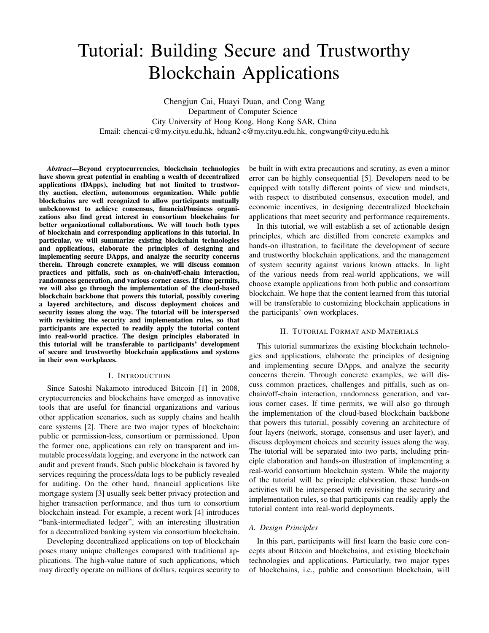# Tutorial: Building Secure and Trustworthy Blockchain Applications

Chengjun Cai, Huayi Duan, and Cong Wang Department of Computer Science City University of Hong Kong, Hong Kong SAR, China Email: chencai-c@my.cityu.edu.hk, hduan2-c@my.cityu.edu.hk, congwang@cityu.edu.hk

*Abstract*—Beyond cryptocurrencies, blockchain technologies have shown great potential in enabling a wealth of decentralized applications (DApps), including but not limited to trustworthy auction, election, autonomous organization. While public blockchains are well recognized to allow participants mutually unbeknownst to achieve consensus, financial/business organizations also find great interest in consortium blockchains for better organizational collaborations. We will touch both types of blockchain and corresponding applications in this tutorial. In particular, we will summarize existing blockchain technologies and applications, elaborate the principles of designing and implementing secure DApps, and analyze the security concerns therein. Through concrete examples, we will discuss common practices and pitfalls, such as on-chain/off-chain interaction, randomness generation, and various corner cases. If time permits, we will also go through the implementation of the cloud-based blockchain backbone that powers this tutorial, possibly covering a layered architecture, and discuss deployment choices and security issues along the way. The tutorial will be interspersed with revisiting the security and implementation rules, so that participants are expected to readily apply the tutorial content into real-world practice. The design principles elaborated in this tutorial will be transferable to participants' development of secure and trustworthy blockchain applications and systems in their own workplaces.

#### I. INTRODUCTION

Since Satoshi Nakamoto introduced Bitcoin [1] in 2008, cryptocurrencies and blockchains have emerged as innovative tools that are useful for financial organizations and various other application scenarios, such as supply chains and health care systems [2]. There are two major types of blockchain: public or permission-less, consortium or permissioned. Upon the former one, applications can rely on transparent and immutable process/data logging, and everyone in the network can audit and prevent frauds. Such public blockchain is favored by services requiring the process/data logs to be publicly revealed for auditing. On the other hand, financial applications like mortgage system [3] usually seek better privacy protection and higher transaction performance, and thus turn to consortium blockchain instead. For example, a recent work [4] introduces "bank-intermediated ledger", with an interesting illustration for a decentralized banking system via consortium blockchain.

Developing decentralized applications on top of blockchain poses many unique challenges compared with traditional applications. The high-value nature of such applications, which may directly operate on millions of dollars, requires security to be built in with extra precautions and scrutiny, as even a minor error can be highly consequential [5]. Developers need to be equipped with totally different points of view and mindsets, with respect to distributed consensus, execution model, and economic incentives, in designing decentralized blockchain applications that meet security and performance requirements.

In this tutorial, we will establish a set of actionable design principles, which are distilled from concrete examples and hands-on illustration, to facilitate the development of secure and trustworthy blockchain applications, and the management of system security against various known attacks. In light of the various needs from real-world applications, we will choose example applications from both public and consortium blockchain. We hope that the content learned from this tutorial will be transferable to customizing blockchain applications in the participants' own workplaces.

## II. TUTORIAL FORMAT AND MATERIALS

This tutorial summarizes the existing blockchain technologies and applications, elaborate the principles of designing and implementing secure DApps, and analyze the security concerns therein. Through concrete examples, we will discuss common practices, challenges and pitfalls, such as onchain/off-chain interaction, randomness generation, and various corner cases. If time permits, we will also go through the implementation of the cloud-based blockchain backbone that powers this tutorial, possibly covering an architecture of four layers (network, storage, consensus and user layer), and discuss deployment choices and security issues along the way. The tutorial will be separated into two parts, including principle elaboration and hands-on illustration of implementing a real-world consortium blockchain system. While the majority of the tutorial will be principle elaboration, these hands-on activities will be interspersed with revisiting the security and implementation rules, so that participants can readily apply the tutorial content into real-world deployments.

## *A. Design Principles*

In this part, participants will first learn the basic core concepts about Bitcoin and blockchains, and existing blockchain technologies and applications. Particularly, two major types of blockchains, i.e., public and consortium blockchain, will